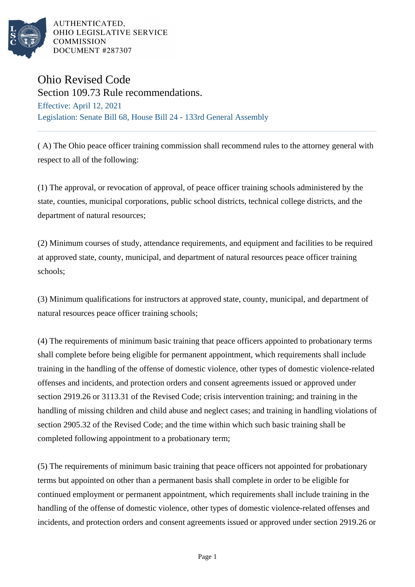

AUTHENTICATED, OHIO LEGISLATIVE SERVICE **COMMISSION** DOCUMENT #287307

## Ohio Revised Code

Section 109.73 Rule recommendations. Effective: April 12, 2021 Legislation: Senate Bill 68, House Bill 24 - 133rd General Assembly

( A) The Ohio peace officer training commission shall recommend rules to the attorney general with respect to all of the following:

(1) The approval, or revocation of approval, of peace officer training schools administered by the state, counties, municipal corporations, public school districts, technical college districts, and the department of natural resources;

(2) Minimum courses of study, attendance requirements, and equipment and facilities to be required at approved state, county, municipal, and department of natural resources peace officer training schools;

(3) Minimum qualifications for instructors at approved state, county, municipal, and department of natural resources peace officer training schools;

(4) The requirements of minimum basic training that peace officers appointed to probationary terms shall complete before being eligible for permanent appointment, which requirements shall include training in the handling of the offense of domestic violence, other types of domestic violence-related offenses and incidents, and protection orders and consent agreements issued or approved under section 2919.26 or 3113.31 of the Revised Code; crisis intervention training; and training in the handling of missing children and child abuse and neglect cases; and training in handling violations of section 2905.32 of the Revised Code; and the time within which such basic training shall be completed following appointment to a probationary term;

(5) The requirements of minimum basic training that peace officers not appointed for probationary terms but appointed on other than a permanent basis shall complete in order to be eligible for continued employment or permanent appointment, which requirements shall include training in the handling of the offense of domestic violence, other types of domestic violence-related offenses and incidents, and protection orders and consent agreements issued or approved under section 2919.26 or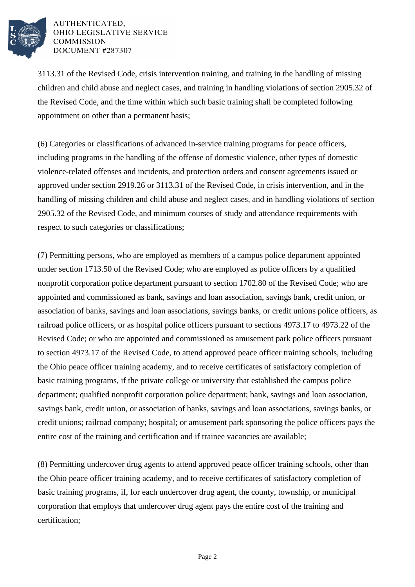

AUTHENTICATED. OHIO LEGISLATIVE SERVICE **COMMISSION** DOCUMENT #287307

3113.31 of the Revised Code, crisis intervention training, and training in the handling of missing children and child abuse and neglect cases, and training in handling violations of section 2905.32 of the Revised Code, and the time within which such basic training shall be completed following appointment on other than a permanent basis;

(6) Categories or classifications of advanced in-service training programs for peace officers, including programs in the handling of the offense of domestic violence, other types of domestic violence-related offenses and incidents, and protection orders and consent agreements issued or approved under section 2919.26 or 3113.31 of the Revised Code, in crisis intervention, and in the handling of missing children and child abuse and neglect cases, and in handling violations of section 2905.32 of the Revised Code, and minimum courses of study and attendance requirements with respect to such categories or classifications;

(7) Permitting persons, who are employed as members of a campus police department appointed under section 1713.50 of the Revised Code; who are employed as police officers by a qualified nonprofit corporation police department pursuant to section 1702.80 of the Revised Code; who are appointed and commissioned as bank, savings and loan association, savings bank, credit union, or association of banks, savings and loan associations, savings banks, or credit unions police officers, as railroad police officers, or as hospital police officers pursuant to sections 4973.17 to 4973.22 of the Revised Code; or who are appointed and commissioned as amusement park police officers pursuant to section 4973.17 of the Revised Code, to attend approved peace officer training schools, including the Ohio peace officer training academy, and to receive certificates of satisfactory completion of basic training programs, if the private college or university that established the campus police department; qualified nonprofit corporation police department; bank, savings and loan association, savings bank, credit union, or association of banks, savings and loan associations, savings banks, or credit unions; railroad company; hospital; or amusement park sponsoring the police officers pays the entire cost of the training and certification and if trainee vacancies are available;

(8) Permitting undercover drug agents to attend approved peace officer training schools, other than the Ohio peace officer training academy, and to receive certificates of satisfactory completion of basic training programs, if, for each undercover drug agent, the county, township, or municipal corporation that employs that undercover drug agent pays the entire cost of the training and certification;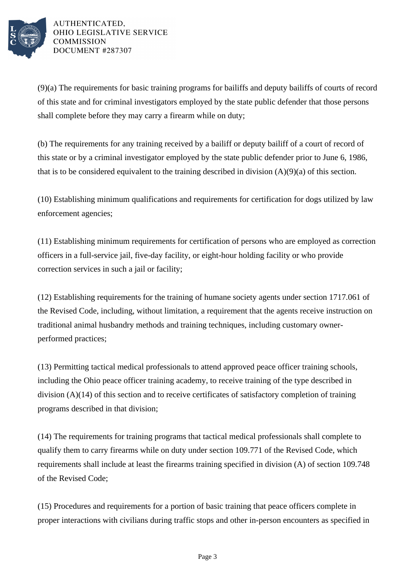

AUTHENTICATED, OHIO LEGISLATIVE SERVICE **COMMISSION** DOCUMENT #287307

(9)(a) The requirements for basic training programs for bailiffs and deputy bailiffs of courts of record of this state and for criminal investigators employed by the state public defender that those persons shall complete before they may carry a firearm while on duty;

(b) The requirements for any training received by a bailiff or deputy bailiff of a court of record of this state or by a criminal investigator employed by the state public defender prior to June 6, 1986, that is to be considered equivalent to the training described in division  $(A)(9)(a)$  of this section.

(10) Establishing minimum qualifications and requirements for certification for dogs utilized by law enforcement agencies;

(11) Establishing minimum requirements for certification of persons who are employed as correction officers in a full-service jail, five-day facility, or eight-hour holding facility or who provide correction services in such a jail or facility;

(12) Establishing requirements for the training of humane society agents under section 1717.061 of the Revised Code, including, without limitation, a requirement that the agents receive instruction on traditional animal husbandry methods and training techniques, including customary ownerperformed practices;

(13) Permitting tactical medical professionals to attend approved peace officer training schools, including the Ohio peace officer training academy, to receive training of the type described in division (A)(14) of this section and to receive certificates of satisfactory completion of training programs described in that division;

(14) The requirements for training programs that tactical medical professionals shall complete to qualify them to carry firearms while on duty under section 109.771 of the Revised Code, which requirements shall include at least the firearms training specified in division (A) of section 109.748 of the Revised Code;

(15) Procedures and requirements for a portion of basic training that peace officers complete in proper interactions with civilians during traffic stops and other in-person encounters as specified in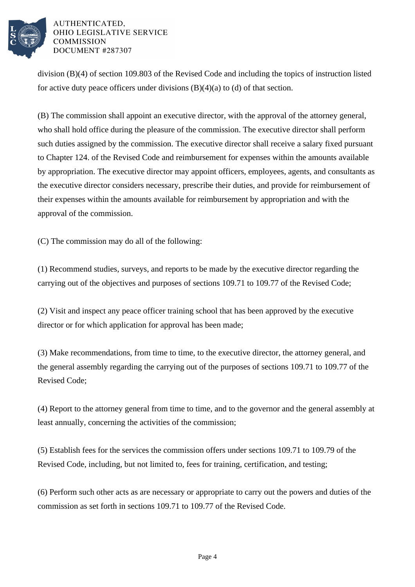

## AUTHENTICATED. OHIO LEGISLATIVE SERVICE **COMMISSION** DOCUMENT #287307

division (B)(4) of section 109.803 of the Revised Code and including the topics of instruction listed for active duty peace officers under divisions  $(B)(4)(a)$  to  $(d)$  of that section.

(B) The commission shall appoint an executive director, with the approval of the attorney general, who shall hold office during the pleasure of the commission. The executive director shall perform such duties assigned by the commission. The executive director shall receive a salary fixed pursuant to Chapter 124. of the Revised Code and reimbursement for expenses within the amounts available by appropriation. The executive director may appoint officers, employees, agents, and consultants as the executive director considers necessary, prescribe their duties, and provide for reimbursement of their expenses within the amounts available for reimbursement by appropriation and with the approval of the commission.

(C) The commission may do all of the following:

(1) Recommend studies, surveys, and reports to be made by the executive director regarding the carrying out of the objectives and purposes of sections 109.71 to 109.77 of the Revised Code;

(2) Visit and inspect any peace officer training school that has been approved by the executive director or for which application for approval has been made;

(3) Make recommendations, from time to time, to the executive director, the attorney general, and the general assembly regarding the carrying out of the purposes of sections 109.71 to 109.77 of the Revised Code;

(4) Report to the attorney general from time to time, and to the governor and the general assembly at least annually, concerning the activities of the commission;

(5) Establish fees for the services the commission offers under sections 109.71 to 109.79 of the Revised Code, including, but not limited to, fees for training, certification, and testing;

(6) Perform such other acts as are necessary or appropriate to carry out the powers and duties of the commission as set forth in sections 109.71 to 109.77 of the Revised Code.